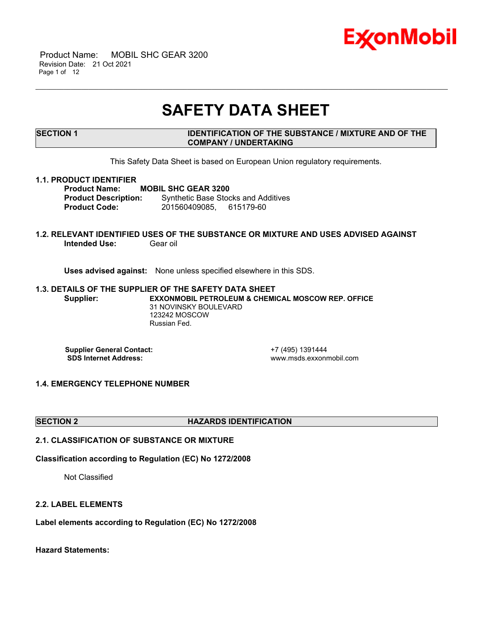

 Product Name: MOBIL SHC GEAR 3200 Revision Date: 21 Oct 2021 Page 1 of 12

## **SAFETY DATA SHEET**

\_\_\_\_\_\_\_\_\_\_\_\_\_\_\_\_\_\_\_\_\_\_\_\_\_\_\_\_\_\_\_\_\_\_\_\_\_\_\_\_\_\_\_\_\_\_\_\_\_\_\_\_\_\_\_\_\_\_\_\_\_\_\_\_\_\_\_\_\_\_\_\_\_\_\_\_\_\_\_\_\_\_\_\_\_\_\_\_\_\_\_\_\_\_\_\_\_\_\_\_\_\_\_\_\_\_\_\_\_\_\_\_\_\_\_\_\_

### **SECTION 1 IDENTIFICATION OF THE SUBSTANCE / MIXTURE AND OF THE COMPANY / UNDERTAKING**

This Safety Data Sheet is based on European Union regulatory requirements.

#### **1.1. PRODUCT IDENTIFIER**

**Product Name: MOBIL SHC GEAR 3200 Product Description:** Synthetic Base Stocks and Additives **Product Code:** 201560409085, 615179-60

#### **1.2. RELEVANT IDENTIFIED USES OF THE SUBSTANCE OR MIXTURE AND USES ADVISED AGAINST Intended Use: Gear oil**

**Uses advised against:** None unless specified elsewhere in this SDS.

#### **1.3. DETAILS OF THE SUPPLIER OF THE SAFETY DATA SHEET Supplier: EXXONMOBIL PETROLEUM & CHEMICAL MOSCOW REP. OFFICE** 31 NOVINSKY BOULEVARD 123242 MOSCOW Russian Fed.

**Supplier General Contact:**<br> **SDS Internet Address:**<br> **SDS Internet Address:**<br> **CONTACT ADDRESS:** 

**SDS Internet Address:** www.msds.exxonmobil.com

#### **1.4. EMERGENCY TELEPHONE NUMBER**

#### **SECTION 2 HAZARDS IDENTIFICATION**

### **2.1. CLASSIFICATION OF SUBSTANCE OR MIXTURE**

**Classification according to Regulation (EC) No 1272/2008**

Not Classified

#### **2.2. LABEL ELEMENTS**

**Label elements according to Regulation (EC) No 1272/2008**

**Hazard Statements:**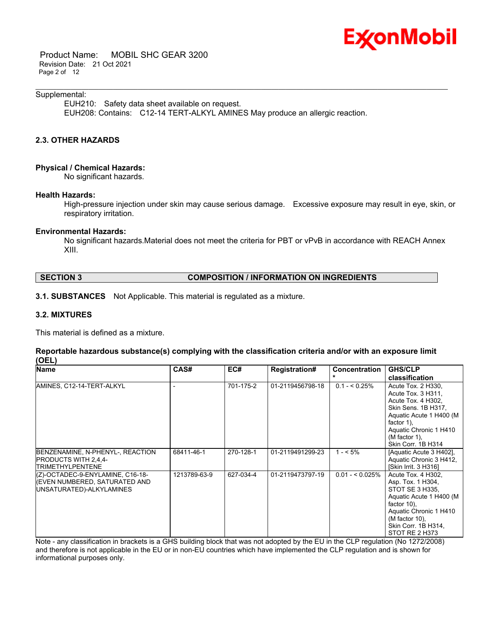

 Product Name: MOBIL SHC GEAR 3200 Revision Date: 21 Oct 2021 Page 2 of 12

#### Supplemental:

EUH210: Safety data sheet available on request. EUH208: Contains: C12-14 TERT-ALKYL AMINES May produce an allergic reaction.

\_\_\_\_\_\_\_\_\_\_\_\_\_\_\_\_\_\_\_\_\_\_\_\_\_\_\_\_\_\_\_\_\_\_\_\_\_\_\_\_\_\_\_\_\_\_\_\_\_\_\_\_\_\_\_\_\_\_\_\_\_\_\_\_\_\_\_\_\_\_\_\_\_\_\_\_\_\_\_\_\_\_\_\_\_\_\_\_\_\_\_\_\_\_\_\_\_\_\_\_\_\_\_\_\_\_\_\_\_\_\_\_\_\_\_\_\_

#### **2.3. OTHER HAZARDS**

#### **Physical / Chemical Hazards:**

No significant hazards.

#### **Health Hazards:**

High-pressure injection under skin may cause serious damage. Excessive exposure may result in eye, skin, or respiratory irritation.

#### **Environmental Hazards:**

No significant hazards.Material does not meet the criteria for PBT or vPvB in accordance with REACH Annex XIII.

#### **SECTION 3 COMPOSITION / INFORMATION ON INGREDIENTS**

#### **3.1. SUBSTANCES** Not Applicable. This material is regulated as a mixture.

#### **3.2. MIXTURES**

This material is defined as a mixture.

#### **Reportable hazardous substance(s) complying with the classification criteria and/or with an exposure limit (OEL)**

| <b>Name</b>                                                                                   | CAS#         | EC#       | <b>Registration#</b> | <b>Concentration</b> | <b>GHS/CLP</b><br>classification                                                                                                                                                                   |
|-----------------------------------------------------------------------------------------------|--------------|-----------|----------------------|----------------------|----------------------------------------------------------------------------------------------------------------------------------------------------------------------------------------------------|
| AMINES, C12-14-TERT-ALKYL                                                                     |              | 701-175-2 | 01-2119456798-18     | $0.1 - 5.25\%$       | Acute Tox. 2 H330.<br>Acute Tox. 3 H311,<br>Acute Tox. 4 H302,<br>Skin Sens. 1B H317,<br>Aquatic Acute 1 H400 (M<br>factor 1).<br>Aquatic Chronic 1 H410<br>$(M factor 1)$ ,<br>Skin Corr. 1B H314 |
| BENZENAMINE, N-PHENYL-, REACTION<br><b>PRODUCTS WITH 2,4,4-</b><br><b>TRIMETHYLPENTENE</b>    | 68411-46-1   | 270-128-1 | 01-2119491299-23     | $1 - 5\%$            | [Aquatic Acute 3 H402].<br>Aquatic Chronic 3 H412,<br>[Skin Irrit. 3 H316]                                                                                                                         |
| (Z)-OCTADEC-9-ENYLAMINE, C16-18-<br>(EVEN NUMBERED, SATURATED AND<br>UNSATURATED)-ALKYLAMINES | 1213789-63-9 | 627-034-4 | 01-2119473797-19     | $0.01 - 5.025\%$     | Acute Tox. 4 H302.<br>Asp. Tox. 1 H304,<br>STOT SE 3 H335.<br>Aquatic Acute 1 H400 (M<br>factor $10$ ).<br>Aquatic Chronic 1 H410<br>(M factor 10),<br>Skin Corr. 1B H314,<br>STOT RE 2 H373       |

Note - any classification in brackets is a GHS building block that was not adopted by the EU in the CLP regulation (No 1272/2008) and therefore is not applicable in the EU or in non-EU countries which have implemented the CLP regulation and is shown for informational purposes only.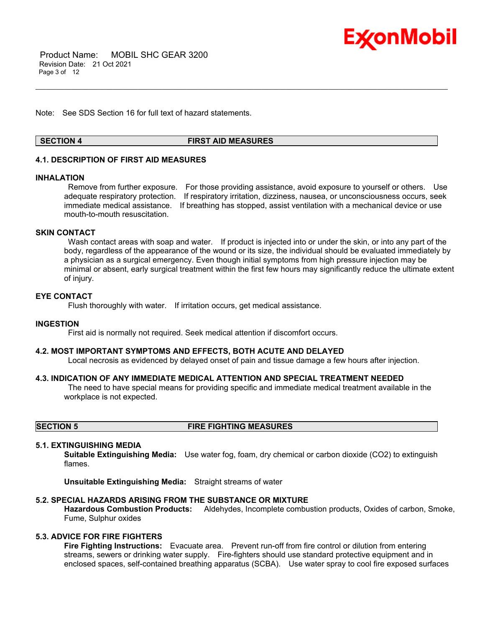

 Product Name: MOBIL SHC GEAR 3200 Revision Date: 21 Oct 2021 Page 3 of 12

Note: See SDS Section 16 for full text of hazard statements.

#### **SECTION 4 FIRST AID MEASURES**

\_\_\_\_\_\_\_\_\_\_\_\_\_\_\_\_\_\_\_\_\_\_\_\_\_\_\_\_\_\_\_\_\_\_\_\_\_\_\_\_\_\_\_\_\_\_\_\_\_\_\_\_\_\_\_\_\_\_\_\_\_\_\_\_\_\_\_\_\_\_\_\_\_\_\_\_\_\_\_\_\_\_\_\_\_\_\_\_\_\_\_\_\_\_\_\_\_\_\_\_\_\_\_\_\_\_\_\_\_\_\_\_\_\_\_\_\_

#### **4.1. DESCRIPTION OF FIRST AID MEASURES**

#### **INHALATION**

Remove from further exposure. For those providing assistance, avoid exposure to yourself or others. Use adequate respiratory protection. If respiratory irritation, dizziness, nausea, or unconsciousness occurs, seek immediate medical assistance. If breathing has stopped, assist ventilation with a mechanical device or use mouth-to-mouth resuscitation.

#### **SKIN CONTACT**

Wash contact areas with soap and water. If product is injected into or under the skin, or into any part of the body, regardless of the appearance of the wound or its size, the individual should be evaluated immediately by a physician as a surgical emergency. Even though initial symptoms from high pressure injection may be minimal or absent, early surgical treatment within the first few hours may significantly reduce the ultimate extent of injury.

#### **EYE CONTACT**

Flush thoroughly with water. If irritation occurs, get medical assistance.

#### **INGESTION**

First aid is normally not required. Seek medical attention if discomfort occurs.

#### **4.2. MOST IMPORTANT SYMPTOMS AND EFFECTS, BOTH ACUTE AND DELAYED**

Local necrosis as evidenced by delayed onset of pain and tissue damage a few hours after injection.

#### **4.3. INDICATION OF ANY IMMEDIATE MEDICAL ATTENTION AND SPECIAL TREATMENT NEEDED**

The need to have special means for providing specific and immediate medical treatment available in the workplace is not expected.

#### **SECTION 5 FIRE FIGHTING MEASURES**

#### **5.1. EXTINGUISHING MEDIA**

**Suitable Extinguishing Media:** Use water fog, foam, dry chemical or carbon dioxide (CO2) to extinguish flames.

**Unsuitable Extinguishing Media:** Straight streams of water

#### **5.2. SPECIAL HAZARDS ARISING FROM THE SUBSTANCE OR MIXTURE**

**Hazardous Combustion Products:** Aldehydes, Incomplete combustion products, Oxides of carbon, Smoke, Fume, Sulphur oxides

### **5.3. ADVICE FOR FIRE FIGHTERS**

**Fire Fighting Instructions:** Evacuate area. Prevent run-off from fire control or dilution from entering streams, sewers or drinking water supply. Fire-fighters should use standard protective equipment and in enclosed spaces, self-contained breathing apparatus (SCBA). Use water spray to cool fire exposed surfaces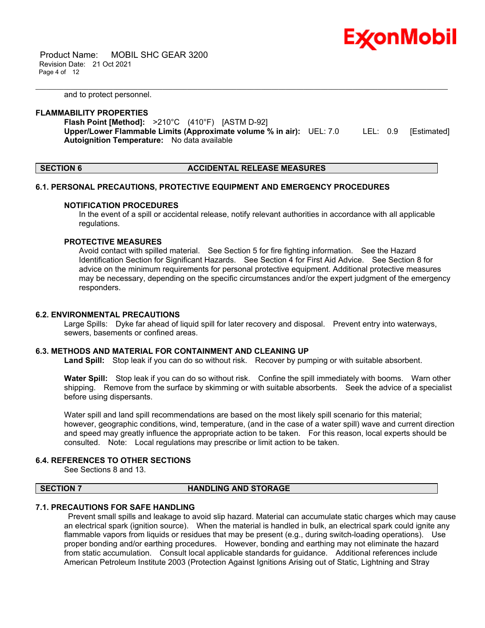

 Product Name: MOBIL SHC GEAR 3200 Revision Date: 21 Oct 2021 Page 4 of 12

and to protect personnel.

#### **FLAMMABILITY PROPERTIES**

**Flash Point [Method]:** >210°C (410°F) [ASTM D-92] **Upper/Lower Flammable Limits (Approximate volume % in air):** UEL: 7.0 LEL: 0.9 [Estimated] **Autoignition Temperature:** No data available

\_\_\_\_\_\_\_\_\_\_\_\_\_\_\_\_\_\_\_\_\_\_\_\_\_\_\_\_\_\_\_\_\_\_\_\_\_\_\_\_\_\_\_\_\_\_\_\_\_\_\_\_\_\_\_\_\_\_\_\_\_\_\_\_\_\_\_\_\_\_\_\_\_\_\_\_\_\_\_\_\_\_\_\_\_\_\_\_\_\_\_\_\_\_\_\_\_\_\_\_\_\_\_\_\_\_\_\_\_\_\_\_\_\_\_\_\_

**SECTION 6 ACCIDENTAL RELEASE MEASURES**

#### **6.1. PERSONAL PRECAUTIONS, PROTECTIVE EQUIPMENT AND EMERGENCY PROCEDURES**

#### **NOTIFICATION PROCEDURES**

In the event of a spill or accidental release, notify relevant authorities in accordance with all applicable regulations.

#### **PROTECTIVE MEASURES**

Avoid contact with spilled material. See Section 5 for fire fighting information. See the Hazard Identification Section for Significant Hazards. See Section 4 for First Aid Advice. See Section 8 for advice on the minimum requirements for personal protective equipment. Additional protective measures may be necessary, depending on the specific circumstances and/or the expert judgment of the emergency responders.

#### **6.2. ENVIRONMENTAL PRECAUTIONS**

Large Spills: Dyke far ahead of liquid spill for later recovery and disposal. Prevent entry into waterways, sewers, basements or confined areas.

#### **6.3. METHODS AND MATERIAL FOR CONTAINMENT AND CLEANING UP**

**Land Spill:** Stop leak if you can do so without risk. Recover by pumping or with suitable absorbent.

**Water Spill:** Stop leak if you can do so without risk. Confine the spill immediately with booms. Warn other shipping. Remove from the surface by skimming or with suitable absorbents. Seek the advice of a specialist before using dispersants.

Water spill and land spill recommendations are based on the most likely spill scenario for this material; however, geographic conditions, wind, temperature, (and in the case of a water spill) wave and current direction and speed may greatly influence the appropriate action to be taken. For this reason, local experts should be consulted. Note: Local regulations may prescribe or limit action to be taken.

#### **6.4. REFERENCES TO OTHER SECTIONS**

See Sections 8 and 13.

#### **SECTION 7 HANDLING AND STORAGE**

#### **7.1. PRECAUTIONS FOR SAFE HANDLING**

Prevent small spills and leakage to avoid slip hazard. Material can accumulate static charges which may cause an electrical spark (ignition source). When the material is handled in bulk, an electrical spark could ignite any flammable vapors from liquids or residues that may be present (e.g., during switch-loading operations). Use proper bonding and/or earthing procedures. However, bonding and earthing may not eliminate the hazard from static accumulation. Consult local applicable standards for guidance. Additional references include American Petroleum Institute 2003 (Protection Against Ignitions Arising out of Static, Lightning and Stray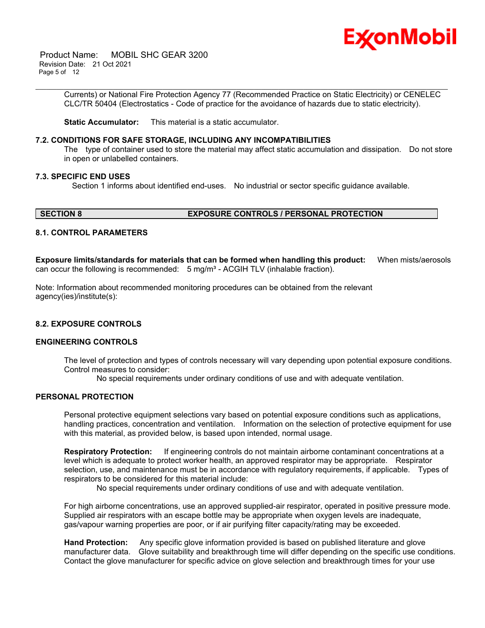

 Product Name: MOBIL SHC GEAR 3200 Revision Date: 21 Oct 2021 Page 5 of 12

> Currents) or National Fire Protection Agency 77 (Recommended Practice on Static Electricity) or CENELEC CLC/TR 50404 (Electrostatics - Code of practice for the avoidance of hazards due to static electricity).

\_\_\_\_\_\_\_\_\_\_\_\_\_\_\_\_\_\_\_\_\_\_\_\_\_\_\_\_\_\_\_\_\_\_\_\_\_\_\_\_\_\_\_\_\_\_\_\_\_\_\_\_\_\_\_\_\_\_\_\_\_\_\_\_\_\_\_\_\_\_\_\_\_\_\_\_\_\_\_\_\_\_\_\_\_\_\_\_\_\_\_\_\_\_\_\_\_\_\_\_\_\_\_\_\_\_\_\_\_\_\_\_\_\_\_\_\_

**Static Accumulator:** This material is a static accumulator.

#### **7.2. CONDITIONS FOR SAFE STORAGE, INCLUDING ANY INCOMPATIBILITIES**

The type of container used to store the material may affect static accumulation and dissipation. Do not store in open or unlabelled containers.

#### **7.3. SPECIFIC END USES**

Section 1 informs about identified end-uses. No industrial or sector specific guidance available.

#### **SECTION 8 EXPOSURE CONTROLS / PERSONAL PROTECTION**

#### **8.1. CONTROL PARAMETERS**

**Exposure limits/standards for materials that can be formed when handling this product:** When mists/aerosols can occur the following is recommended:  $5 \text{ mg/m}^3$  - ACGIH TLV (inhalable fraction).

Note: Information about recommended monitoring procedures can be obtained from the relevant agency(ies)/institute(s):

#### **8.2. EXPOSURE CONTROLS**

#### **ENGINEERING CONTROLS**

The level of protection and types of controls necessary will vary depending upon potential exposure conditions. Control measures to consider:

No special requirements under ordinary conditions of use and with adequate ventilation.

#### **PERSONAL PROTECTION**

Personal protective equipment selections vary based on potential exposure conditions such as applications, handling practices, concentration and ventilation. Information on the selection of protective equipment for use with this material, as provided below, is based upon intended, normal usage.

**Respiratory Protection:** If engineering controls do not maintain airborne contaminant concentrations at a level which is adequate to protect worker health, an approved respirator may be appropriate. Respirator selection, use, and maintenance must be in accordance with regulatory requirements, if applicable. Types of respirators to be considered for this material include:

No special requirements under ordinary conditions of use and with adequate ventilation.

For high airborne concentrations, use an approved supplied-air respirator, operated in positive pressure mode. Supplied air respirators with an escape bottle may be appropriate when oxygen levels are inadequate, gas/vapour warning properties are poor, or if air purifying filter capacity/rating may be exceeded.

**Hand Protection:** Any specific glove information provided is based on published literature and glove manufacturer data. Glove suitability and breakthrough time will differ depending on the specific use conditions. Contact the glove manufacturer for specific advice on glove selection and breakthrough times for your use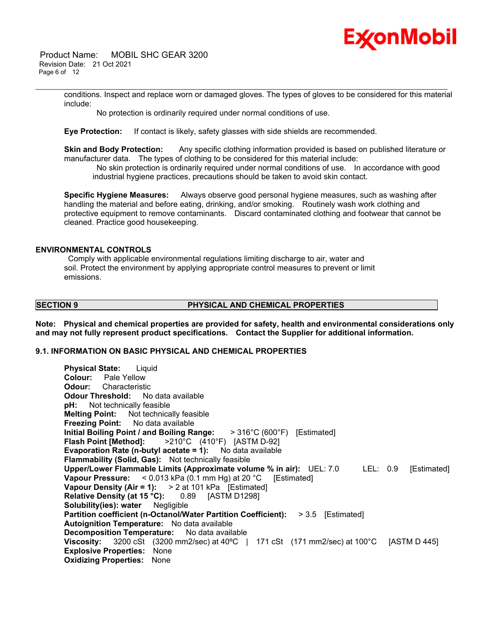# Ex⁄onMobil

 Product Name: MOBIL SHC GEAR 3200 Revision Date: 21 Oct 2021 Page 6 of 12

> conditions. Inspect and replace worn or damaged gloves. The types of gloves to be considered for this material include:

\_\_\_\_\_\_\_\_\_\_\_\_\_\_\_\_\_\_\_\_\_\_\_\_\_\_\_\_\_\_\_\_\_\_\_\_\_\_\_\_\_\_\_\_\_\_\_\_\_\_\_\_\_\_\_\_\_\_\_\_\_\_\_\_\_\_\_\_\_\_\_\_\_\_\_\_\_\_\_\_\_\_\_\_\_\_\_\_\_\_\_\_\_\_\_\_\_\_\_\_\_\_\_\_\_\_\_\_\_\_\_\_\_\_\_\_\_

No protection is ordinarily required under normal conditions of use.

**Eye Protection:** If contact is likely, safety glasses with side shields are recommended.

**Skin and Body Protection:** Any specific clothing information provided is based on published literature or manufacturer data. The types of clothing to be considered for this material include:

No skin protection is ordinarily required under normal conditions of use. In accordance with good industrial hygiene practices, precautions should be taken to avoid skin contact.

**Specific Hygiene Measures:** Always observe good personal hygiene measures, such as washing after handling the material and before eating, drinking, and/or smoking. Routinely wash work clothing and protective equipment to remove contaminants. Discard contaminated clothing and footwear that cannot be cleaned. Practice good housekeeping.

#### **ENVIRONMENTAL CONTROLS**

Comply with applicable environmental regulations limiting discharge to air, water and soil. Protect the environment by applying appropriate control measures to prevent or limit emissions.

### **SECTION 9 PHYSICAL AND CHEMICAL PROPERTIES**

**Note: Physical and chemical properties are provided for safety, health and environmental considerations only and may not fully represent product specifications. Contact the Supplier for additional information.**

#### **9.1. INFORMATION ON BASIC PHYSICAL AND CHEMICAL PROPERTIES**

| <b>Physical State:</b> Liquid                                                                                                     |
|-----------------------------------------------------------------------------------------------------------------------------------|
| <b>Colour:</b> Pale Yellow                                                                                                        |
| <b>Odour:</b> Characteristic                                                                                                      |
| <b>Odour Threshold:</b> No data available                                                                                         |
| pH: Not technically feasible                                                                                                      |
| <b>Melting Point:</b> Not technically feasible                                                                                    |
| <b>Freezing Point:</b> No data available                                                                                          |
| Initial Boiling Point / and Boiling Range: $>316^{\circ}$ C (600 $^{\circ}$ F) [Estimated]                                        |
| <b>Flash Point [Method]:</b> $>210^{\circ}$ C (410°F) [ASTM D-92]                                                                 |
| <b>Evaporation Rate (n-butyl acetate = 1):</b> No data available                                                                  |
| <b>Flammability (Solid, Gas):</b> Not technically feasible                                                                        |
| Upper/Lower Flammable Limits (Approximate volume % in air): UEL: 7.0 LEL: 0.9<br>[Estimated]                                      |
| Vapour Pressure: $< 0.013$ kPa (0.1 mm Hg) at 20 °C [Estimated]                                                                   |
| Vapour Density (Air = 1): $> 2$ at 101 kPa [Estimated]                                                                            |
| <b>Relative Density (at 15 °C):</b> 0.89 [ASTM D1298]                                                                             |
| Solubility(ies): water Negligible                                                                                                 |
| <b>Partition coefficient (n-Octanol/Water Partition Coefficient): &gt; 3.5 [Estimated]</b>                                        |
| <b>Autoignition Temperature:</b> No data available                                                                                |
| <b>Decomposition Temperature:</b> No data available                                                                               |
| <b>Viscosity:</b> 3200 cSt $(3200 \text{ mm}2/\text{sec})$ at 40°C   171 cSt $(171 \text{ mm}2/\text{sec})$ at 100°C [ASTM D 445] |
| <b>Explosive Properties: None</b>                                                                                                 |
| <b>Oxidizing Properties: None</b>                                                                                                 |
|                                                                                                                                   |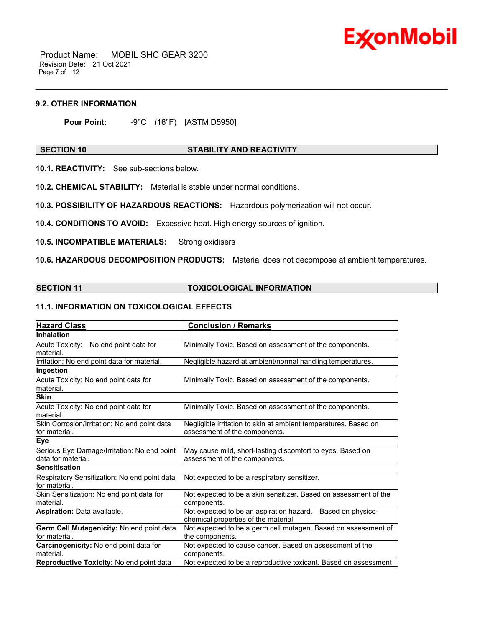

 Product Name: MOBIL SHC GEAR 3200 Revision Date: 21 Oct 2021 Page 7 of 12

#### **9.2. OTHER INFORMATION**

**Pour Point:** -9°C (16°F) [ASTM D5950]

#### **SECTION 10 STABILITY AND REACTIVITY**

\_\_\_\_\_\_\_\_\_\_\_\_\_\_\_\_\_\_\_\_\_\_\_\_\_\_\_\_\_\_\_\_\_\_\_\_\_\_\_\_\_\_\_\_\_\_\_\_\_\_\_\_\_\_\_\_\_\_\_\_\_\_\_\_\_\_\_\_\_\_\_\_\_\_\_\_\_\_\_\_\_\_\_\_\_\_\_\_\_\_\_\_\_\_\_\_\_\_\_\_\_\_\_\_\_\_\_\_\_\_\_\_\_\_\_\_\_

**10.1. REACTIVITY:** See sub-sections below.

**10.2. CHEMICAL STABILITY:** Material is stable under normal conditions.

**10.3. POSSIBILITY OF HAZARDOUS REACTIONS:** Hazardous polymerization will not occur.

**10.4. CONDITIONS TO AVOID:** Excessive heat. High energy sources of ignition.

**10.5. INCOMPATIBLE MATERIALS:** Strong oxidisers

**10.6. HAZARDOUS DECOMPOSITION PRODUCTS:** Material does not decompose at ambient temperatures.

#### **SECTION 11 TOXICOLOGICAL INFORMATION**

### **11.1. INFORMATION ON TOXICOLOGICAL EFFECTS**

| <b>Hazard Class</b>                                               | <b>Conclusion / Remarks</b>                                                                        |
|-------------------------------------------------------------------|----------------------------------------------------------------------------------------------------|
| <b>Inhalation</b>                                                 |                                                                                                    |
| Acute Toxicity: No end point data for<br>material.                | Minimally Toxic. Based on assessment of the components.                                            |
| Irritation: No end point data for material.                       | Negligible hazard at ambient/normal handling temperatures.                                         |
| Ingestion                                                         |                                                                                                    |
| Acute Toxicity: No end point data for<br>material.                | Minimally Toxic. Based on assessment of the components.                                            |
| <b>Skin</b>                                                       |                                                                                                    |
| Acute Toxicity: No end point data for<br>material.                | Minimally Toxic. Based on assessment of the components.                                            |
| Skin Corrosion/Irritation: No end point data<br>for material.     | Negligible irritation to skin at ambient temperatures. Based on<br>assessment of the components.   |
| <b>Eye</b>                                                        |                                                                                                    |
| Serious Eye Damage/Irritation: No end point<br>data for material. | May cause mild, short-lasting discomfort to eyes. Based on<br>assessment of the components.        |
| <b>Sensitisation</b>                                              |                                                                                                    |
| Respiratory Sensitization: No end point data<br>for material.     | Not expected to be a respiratory sensitizer.                                                       |
| Skin Sensitization: No end point data for<br>material.            | Not expected to be a skin sensitizer. Based on assessment of the<br>components.                    |
| <b>Aspiration: Data available.</b>                                | Not expected to be an aspiration hazard. Based on physico-<br>chemical properties of the material. |
| Germ Cell Mutagenicity: No end point data                         | Not expected to be a germ cell mutagen. Based on assessment of                                     |
| lfor material.                                                    | the components.                                                                                    |
| Carcinogenicity: No end point data for<br>material.               | Not expected to cause cancer. Based on assessment of the<br>components.                            |
| Reproductive Toxicity: No end point data                          | Not expected to be a reproductive toxicant. Based on assessment                                    |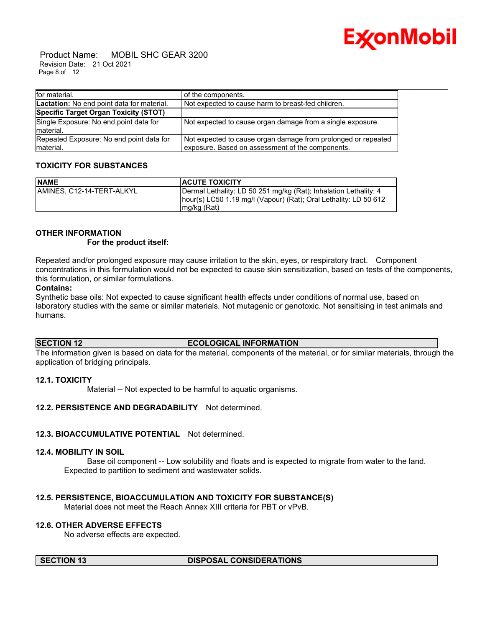

 Product Name: MOBIL SHC GEAR 3200 Revision Date: 21 Oct 2021 Page 8 of 12

| for material.                                         | of the components.                                                                                                |
|-------------------------------------------------------|-------------------------------------------------------------------------------------------------------------------|
| Lactation: No end point data for material.            | Not expected to cause harm to breast-fed children.                                                                |
| Specific Target Organ Toxicity (STOT)                 |                                                                                                                   |
| Single Exposure: No end point data for<br>material.   | Not expected to cause organ damage from a single exposure.                                                        |
| Repeated Exposure: No end point data for<br>material. | Not expected to cause organ damage from prolonged or repeated<br>exposure. Based on assessment of the components. |

### **TOXICITY FOR SUBSTANCES**

| <b>NAME</b>               | <b>ACUTE TOXICITY</b>                                                                                                                                 |
|---------------------------|-------------------------------------------------------------------------------------------------------------------------------------------------------|
| AMINES. C12-14-TERT-ALKYL | Dermal Lethality: LD 50 251 mg/kg (Rat); Inhalation Lethality: 4<br>hour(s) LC50 1.19 mg/l (Vapour) (Rat); Oral Lethality: LD 50 612<br>$mg/kg$ (Rat) |

### **OTHER INFORMATION**

 **For the product itself:** 

Repeated and/or prolonged exposure may cause irritation to the skin, eyes, or respiratory tract. Component concentrations in this formulation would not be expected to cause skin sensitization, based on tests of the components, this formulation, or similar formulations.

#### **Contains:**

Synthetic base oils: Not expected to cause significant health effects under conditions of normal use, based on laboratory studies with the same or similar materials. Not mutagenic or genotoxic. Not sensitising in test animals and humans.

#### **SECTION 12 ECOLOGICAL INFORMATION**

The information given is based on data for the material, components of the material, or for similar materials, through the application of bridging principals.

#### **12.1. TOXICITY**

Material -- Not expected to be harmful to aquatic organisms.

#### **12.2. PERSISTENCE AND DEGRADABILITY** Not determined.

#### **12.3. BIOACCUMULATIVE POTENTIAL** Not determined.

#### **12.4. MOBILITY IN SOIL**

 Base oil component -- Low solubility and floats and is expected to migrate from water to the land. Expected to partition to sediment and wastewater solids.

#### **12.5. PERSISTENCE, BIOACCUMULATION AND TOXICITY FOR SUBSTANCE(S)**

Material does not meet the Reach Annex XIII criteria for PBT or vPvB.

### **12.6. OTHER ADVERSE EFFECTS**

No adverse effects are expected.

#### **SECTION 13 DISPOSAL CONSIDERATIONS**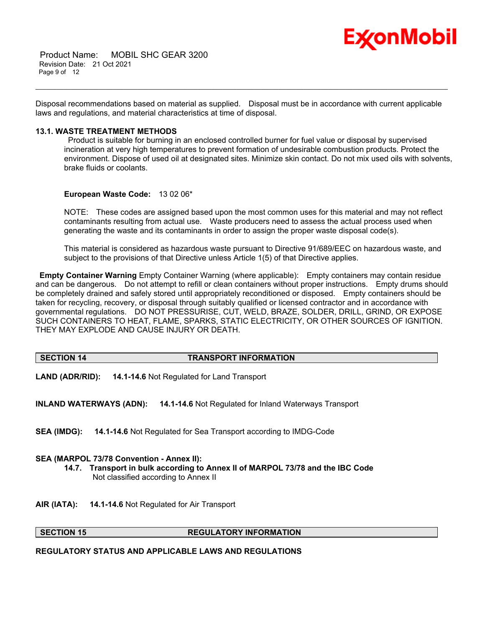

 Product Name: MOBIL SHC GEAR 3200 Revision Date: 21 Oct 2021 Page 9 of 12

Disposal recommendations based on material as supplied. Disposal must be in accordance with current applicable laws and regulations, and material characteristics at time of disposal.

\_\_\_\_\_\_\_\_\_\_\_\_\_\_\_\_\_\_\_\_\_\_\_\_\_\_\_\_\_\_\_\_\_\_\_\_\_\_\_\_\_\_\_\_\_\_\_\_\_\_\_\_\_\_\_\_\_\_\_\_\_\_\_\_\_\_\_\_\_\_\_\_\_\_\_\_\_\_\_\_\_\_\_\_\_\_\_\_\_\_\_\_\_\_\_\_\_\_\_\_\_\_\_\_\_\_\_\_\_\_\_\_\_\_\_\_\_

#### **13.1. WASTE TREATMENT METHODS**

Product is suitable for burning in an enclosed controlled burner for fuel value or disposal by supervised incineration at very high temperatures to prevent formation of undesirable combustion products. Protect the environment. Dispose of used oil at designated sites. Minimize skin contact. Do not mix used oils with solvents, brake fluids or coolants.

#### **European Waste Code:** 13 02 06\*

NOTE: These codes are assigned based upon the most common uses for this material and may not reflect contaminants resulting from actual use. Waste producers need to assess the actual process used when generating the waste and its contaminants in order to assign the proper waste disposal code(s).

This material is considered as hazardous waste pursuant to Directive 91/689/EEC on hazardous waste, and subject to the provisions of that Directive unless Article 1(5) of that Directive applies.

**Empty Container Warning** Empty Container Warning (where applicable): Empty containers may contain residue and can be dangerous. Do not attempt to refill or clean containers without proper instructions. Empty drums should be completely drained and safely stored until appropriately reconditioned or disposed. Empty containers should be taken for recycling, recovery, or disposal through suitably qualified or licensed contractor and in accordance with governmental regulations. DO NOT PRESSURISE, CUT, WELD, BRAZE, SOLDER, DRILL, GRIND, OR EXPOSE SUCH CONTAINERS TO HEAT, FLAME, SPARKS, STATIC ELECTRICITY, OR OTHER SOURCES OF IGNITION. THEY MAY EXPLODE AND CAUSE INJURY OR DEATH.

#### **SECTION 14 TRANSPORT INFORMATION**

**LAND (ADR/RID): 14.1-14.6** Not Regulated for Land Transport

**INLAND WATERWAYS (ADN): 14.1-14.6** Not Regulated for Inland Waterways Transport

**SEA (IMDG): 14.1-14.6** Not Regulated for Sea Transport according to IMDG-Code

#### **SEA (MARPOL 73/78 Convention - Annex II):**

- **14.7. Transport in bulk according to Annex II of MARPOL 73/78 and the IBC Code** Not classified according to Annex II
- **AIR (IATA): 14.1-14.6** Not Regulated for Air Transport

#### **SECTION 15 REGULATORY INFORMATION**

#### **REGULATORY STATUS AND APPLICABLE LAWS AND REGULATIONS**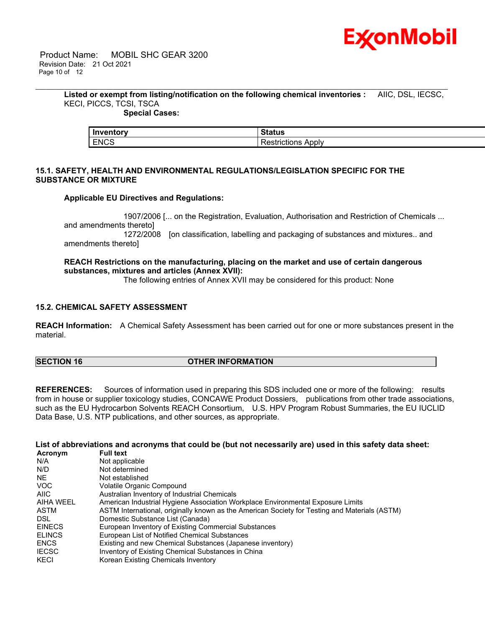

**Listed or exempt from listing/notification on the following chemical inventories :** AIIC, DSL, IECSC, KECI, PICCS, TCSI, TSCA

\_\_\_\_\_\_\_\_\_\_\_\_\_\_\_\_\_\_\_\_\_\_\_\_\_\_\_\_\_\_\_\_\_\_\_\_\_\_\_\_\_\_\_\_\_\_\_\_\_\_\_\_\_\_\_\_\_\_\_\_\_\_\_\_\_\_\_\_\_\_\_\_\_\_\_\_\_\_\_\_\_\_\_\_\_\_\_\_\_\_\_\_\_\_\_\_\_\_\_\_\_\_\_\_\_\_\_\_\_\_\_\_\_\_\_\_\_

### **Special Cases:**

| Inventory   | Status                          |
|-------------|---------------------------------|
| <b>ENCS</b> | Apply<br>.<br>'esi<br>™rictions |

#### **15.1. SAFETY, HEALTH AND ENVIRONMENTAL REGULATIONS/LEGISLATION SPECIFIC FOR THE SUBSTANCE OR MIXTURE**

#### **Applicable EU Directives and Regulations:**

 1907/2006 [... on the Registration, Evaluation, Authorisation and Restriction of Chemicals ... and amendments thereto] 1272/2008 [on classification, labelling and packaging of substances and mixtures.. and amendments thereto]

### **REACH Restrictions on the manufacturing, placing on the market and use of certain dangerous substances, mixtures and articles (Annex XVII):**

The following entries of Annex XVII may be considered for this product: None

### **15.2. CHEMICAL SAFETY ASSESSMENT**

**REACH Information:** A Chemical Safety Assessment has been carried out for one or more substances present in the material.

#### **SECTION 16 OTHER INFORMATION**

**REFERENCES:** Sources of information used in preparing this SDS included one or more of the following: results from in house or supplier toxicology studies, CONCAWE Product Dossiers, publications from other trade associations, such as the EU Hydrocarbon Solvents REACH Consortium, U.S. HPV Program Robust Summaries, the EU IUCLID Data Base, U.S. NTP publications, and other sources, as appropriate.

#### List of abbreviations and acronyms that could be (but not necessarily are) used in this safety data sheet:

| Acronym          | <b>Full text</b>                                                                              |
|------------------|-----------------------------------------------------------------------------------------------|
| N/A              | Not applicable                                                                                |
| N/D              | Not determined                                                                                |
| <b>NE</b>        | Not established                                                                               |
| <b>VOC</b>       | Volatile Organic Compound                                                                     |
| <b>AIIC</b>      | Australian Inventory of Industrial Chemicals                                                  |
| <b>AIHA WEEL</b> | American Industrial Hygiene Association Workplace Environmental Exposure Limits               |
| ASTM             | ASTM International, originally known as the American Society for Testing and Materials (ASTM) |
| DSL.             | Domestic Substance List (Canada)                                                              |
| <b>EINECS</b>    | European Inventory of Existing Commercial Substances                                          |
| <b>ELINCS</b>    | European List of Notified Chemical Substances                                                 |
| <b>ENCS</b>      | Existing and new Chemical Substances (Japanese inventory)                                     |
| <b>IECSC</b>     | Inventory of Existing Chemical Substances in China                                            |
| KECI             | Korean Existing Chemicals Inventory                                                           |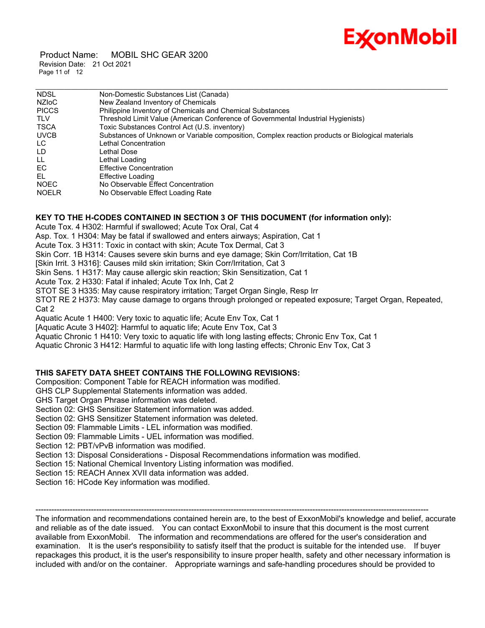# Ex⁄onMobil

 Product Name: MOBIL SHC GEAR 3200 Revision Date: 21 Oct 2021 Page 11 of 12

| <b>NDSL</b>  | Non-Domestic Substances List (Canada)                                                            |
|--------------|--------------------------------------------------------------------------------------------------|
| NZIoC        | New Zealand Inventory of Chemicals                                                               |
| <b>PICCS</b> | Philippine Inventory of Chemicals and Chemical Substances                                        |
| <b>TLV</b>   | Threshold Limit Value (American Conference of Governmental Industrial Hygienists)                |
| <b>TSCA</b>  | Toxic Substances Control Act (U.S. inventory)                                                    |
| <b>UVCB</b>  | Substances of Unknown or Variable composition, Complex reaction products or Biological materials |
| LC.          | Lethal Concentration                                                                             |
| LD           | Lethal Dose                                                                                      |
| LL.          | Lethal Loading                                                                                   |
| EC.          | <b>Effective Concentration</b>                                                                   |
| EL           | Effective Loading                                                                                |
| <b>NOEC</b>  | No Observable Effect Concentration                                                               |
| <b>NOELR</b> | No Observable Effect Loading Rate                                                                |

### **KEY TO THE H-CODES CONTAINED IN SECTION 3 OF THIS DOCUMENT (for information only):**

Acute Tox. 4 H302: Harmful if swallowed; Acute Tox Oral, Cat 4

Asp. Tox. 1 H304: May be fatal if swallowed and enters airways; Aspiration, Cat 1

Acute Tox. 3 H311: Toxic in contact with skin; Acute Tox Dermal, Cat 3

Skin Corr. 1B H314: Causes severe skin burns and eye damage; Skin Corr/Irritation, Cat 1B

[Skin Irrit. 3 H316]: Causes mild skin irritation; Skin Corr/Irritation, Cat 3

Skin Sens. 1 H317: May cause allergic skin reaction; Skin Sensitization, Cat 1

Acute Tox. 2 H330: Fatal if inhaled; Acute Tox Inh, Cat 2

STOT SE 3 H335: May cause respiratory irritation; Target Organ Single, Resp Irr

STOT RE 2 H373: May cause damage to organs through prolonged or repeated exposure; Target Organ, Repeated, Cat 2

Aquatic Acute 1 H400: Very toxic to aquatic life; Acute Env Tox, Cat 1

[Aquatic Acute 3 H402]: Harmful to aquatic life; Acute Env Tox, Cat 3

Aquatic Chronic 1 H410: Very toxic to aquatic life with long lasting effects; Chronic Env Tox, Cat 1

Aquatic Chronic 3 H412: Harmful to aquatic life with long lasting effects; Chronic Env Tox, Cat 3

### **THIS SAFETY DATA SHEET CONTAINS THE FOLLOWING REVISIONS:**

Composition: Component Table for REACH information was modified.

GHS CLP Supplemental Statements information was added.

GHS Target Organ Phrase information was deleted.

Section 02: GHS Sensitizer Statement information was added.

Section 02: GHS Sensitizer Statement information was deleted.

Section 09: Flammable Limits - LEL information was modified.

Section 09: Flammable Limits - UEL information was modified.

Section 12: PBT/vPvB information was modified.

Section 13: Disposal Considerations - Disposal Recommendations information was modified.

Section 15: National Chemical Inventory Listing information was modified.

Section 15: REACH Annex XVII data information was added.

Section 16: HCode Key information was modified.

----------------------------------------------------------------------------------------------------------------------------------------------------- The information and recommendations contained herein are, to the best of ExxonMobil's knowledge and belief, accurate and reliable as of the date issued. You can contact ExxonMobil to insure that this document is the most current available from ExxonMobil. The information and recommendations are offered for the user's consideration and examination. It is the user's responsibility to satisfy itself that the product is suitable for the intended use. If buyer repackages this product, it is the user's responsibility to insure proper health, safety and other necessary information is included with and/or on the container. Appropriate warnings and safe-handling procedures should be provided to